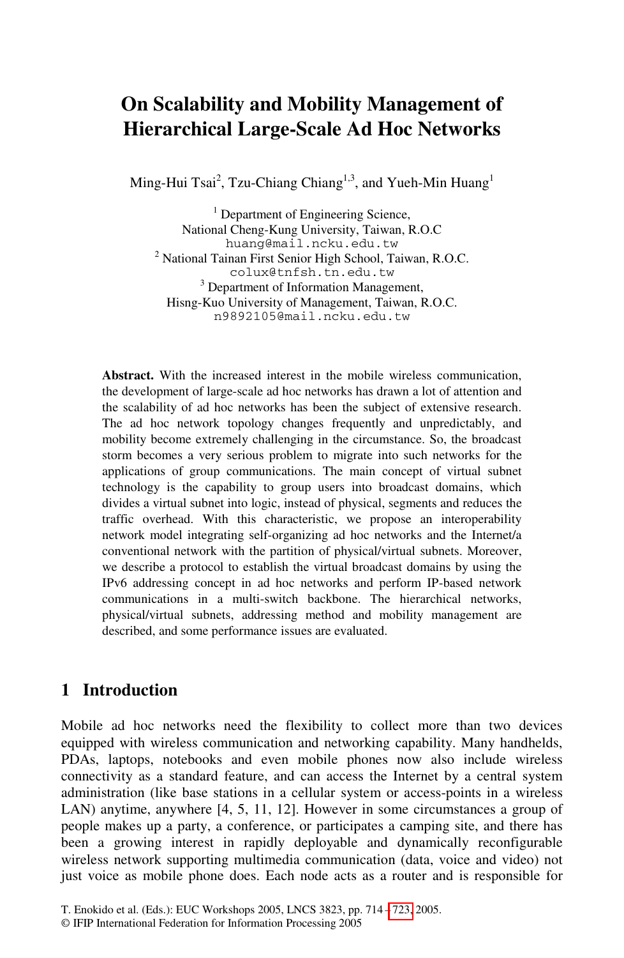# **On Scalability and Mobility Management of Hierarchical Large-Scale Ad Hoc Networks**

Ming-Hui Tsai<sup>2</sup>, Tzu-Chiang Chiang<sup>1,3</sup>, and Yueh-Min Huang<sup>1</sup>

<sup>1</sup> Department of Engineering Science, National Cheng-Kung University, Taiwan, R.O.C huang@mail.ncku.edu.tw <sup>2</sup> National Tainan First Senior High School, Taiwan, R.O.C. colux@tnfsh.tn.edu.tw <sup>3</sup> Department of Information Management, Hisng-Kuo University of Management, Taiwan, R.O.C. n9892105@mail.ncku.edu.tw

**Abstract.** With the increased interest in the mobile wireless communication, the development of large-scale ad hoc networks has drawn a lot of attention and the scalability of ad hoc networks has been the subject of extensive research. The ad hoc network topology changes frequently and unpredictably, and mobility become extremely challenging in the circumstance. So, the broadcast storm becomes a very serious problem to migrate into such networks for the applications of group communications. The main concept of virtual subnet technology is the capability to group users into broadcast domains, which divides a virtual subnet into logic, instead of physical, segments and reduces the traffic overhead. With this characteristic, we propose an interoperability network model integrating self-organizing ad hoc networks and the Internet/a conventional network with the partition of physical/virtual subnets. Moreover, we describe a protocol to establish the virtual broadcast domains by using the IPv6 addressing concept in ad hoc networks and perform IP-based network communications in a multi-switch backbone. The hierarchical networks, physical/virtual subnets, addressing method and mobility management are described, and some performance issues are evaluated.

## **1 Introduction**

Mobile ad hoc networks need the flexibility to collect more than two devices equipped with wireless communication and networking capability. Many handhelds, PDAs, laptops, notebooks and even mobile phones now also include wireless connectivity as a standard feature, and can access the Internet by a central system administration (like base stations i[n a c](#page-9-0)ellular system or access-points in a wireless LAN) anytime, anywhere [4, 5, 11, 12]. However in some circumstances a group of people makes up a party, a conference, or participates a camping site, and there has been a growing interest in rapidly deployable and dynamically reconfigurable wireless network supporting multimedia communication (data, voice and video) not just voice as mobile phone does. Each node acts as a router and is responsible for

T. Enokido et al. (Eds.): EUC Workshops 2005, LNCS 3823, pp. 714 – 723, 2005.

<sup>©</sup> IFIP International Federation for Information Processing 2005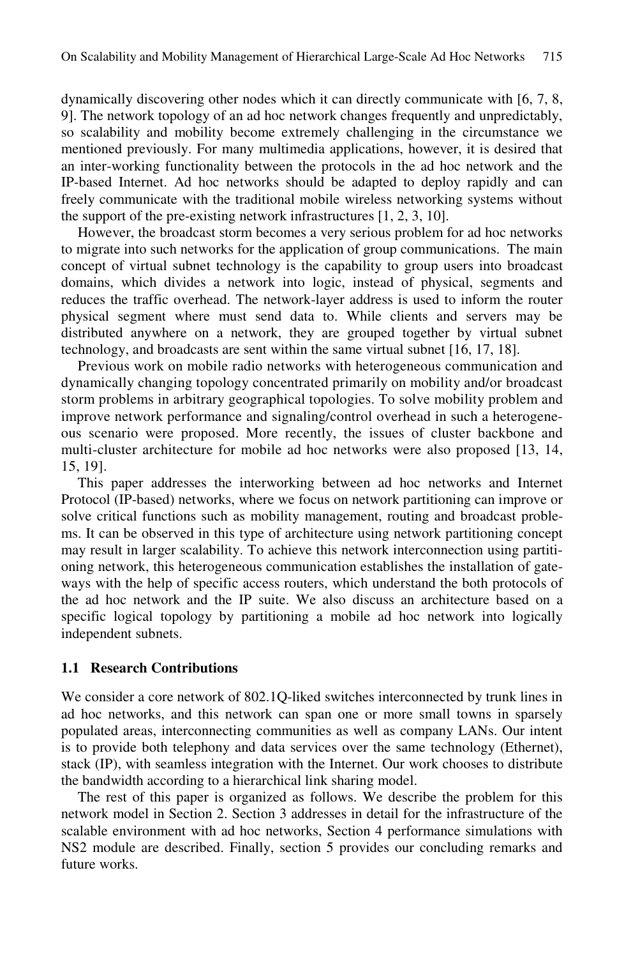dynamically discovering other nodes which it can directly communicate with [6, 7, 8, 9]. The network topology of an ad hoc network changes frequently and unpredictably, so scalability and mobility become extremely challenging in the circumstance we mentioned previously. For many multimedia applications, however, it is desired that an inter-working functionality between the protocols in the ad hoc network and the IP-based Internet. Ad hoc networks should be adapted to deploy rapidly and can freely communicate with the traditional mobile wireless networking systems without the support of the pre-existing network infrastructures [1, 2, 3, 10].

However, the broadcast storm becomes a very serious problem for ad hoc networks to migrate into such networks for the application of group communications. The main concept of virtual subnet technology is the capability to group users into broadcast domains, which divides a network into logic, instead of physical, segments and reduces the traffic overhead. The network-layer address is used to inform the router physical segment where must send data to. While clients and servers may be distributed anywhere on a network, they are grouped together by virtual subnet technology, and broadcasts are sent within the same virtual subnet [16, 17, 18].

Previous work on mobile radio networks with heterogeneous communication and dynamically changing topology concentrated primarily on mobility and/or broadcast storm problems in arbitrary geographical topologies. To solve mobility problem and improve network performance and signaling/control overhead in such a heterogeneous scenario were proposed. More recently, the issues of cluster backbone and multi-cluster architecture for mobile ad hoc networks were also proposed [13, 14, 15, 19].

This paper addresses the interworking between ad hoc networks and Internet Protocol (IP-based) networks, where we focus on network partitioning can improve or solve critical functions such as mobility management, routing and broadcast problems. It can be observed in this type of architecture using network partitioning concept may result in larger scalability. To achieve this network interconnection using partitioning network, this heterogeneous communication establishes the installation of gateways with the help of specific access routers, which understand the both protocols of the ad hoc network and the IP suite. We also discuss an architecture based on a specific logical topology by partitioning a mobile ad hoc network into logically independent subnets.

#### **1.1 Research Contributions**

We consider a core network of 802.1Q-liked switches interconnected by trunk lines in ad hoc networks, and this network can span one or more small towns in sparsely populated areas, interconnecting communities as well as company LANs. Our intent is to provide both telephony and data services over the same technology (Ethernet), stack (IP), with seamless integration with the Internet. Our work chooses to distribute the bandwidth according to a hierarchical link sharing model.

The rest of this paper is organized as follows. We describe the problem for this network model in Section 2. Section 3 addresses in detail for the infrastructure of the scalable environment with ad hoc networks, Section 4 performance simulations with NS2 module are described. Finally, section 5 provides our concluding remarks and future works.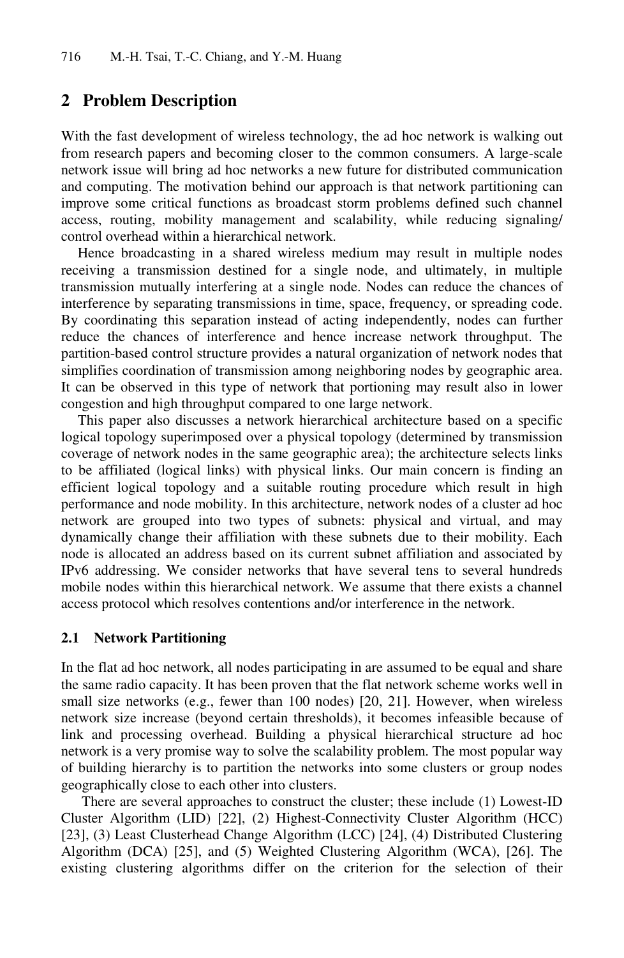# **2 Problem Description**

With the fast development of wireless technology, the ad hoc network is walking out from research papers and becoming closer to the common consumers. A large-scale network issue will bring ad hoc networks a new future for distributed communication and computing. The motivation behind our approach is that network partitioning can improve some critical functions as broadcast storm problems defined such channel access, routing, mobility management and scalability, while reducing signaling/ control overhead within a hierarchical network.

Hence broadcasting in a shared wireless medium may result in multiple nodes receiving a transmission destined for a single node, and ultimately, in multiple transmission mutually interfering at a single node. Nodes can reduce the chances of interference by separating transmissions in time, space, frequency, or spreading code. By coordinating this separation instead of acting independently, nodes can further reduce the chances of interference and hence increase network throughput. The partition-based control structure provides a natural organization of network nodes that simplifies coordination of transmission among neighboring nodes by geographic area. It can be observed in this type of network that portioning may result also in lower congestion and high throughput compared to one large network.

This paper also discusses a network hierarchical architecture based on a specific logical topology superimposed over a physical topology (determined by transmission coverage of network nodes in the same geographic area); the architecture selects links to be affiliated (logical links) with physical links. Our main concern is finding an efficient logical topology and a suitable routing procedure which result in high performance and node mobility. In this architecture, network nodes of a cluster ad hoc network are grouped into two types of subnets: physical and virtual, and may dynamically change their affiliation with these subnets due to their mobility. Each node is allocated an address based on its current subnet affiliation and associated by IPv6 addressing. We consider networks that have several tens to several hundreds mobile nodes within this hierarchical network. We assume that there exists a channel access protocol which resolves contentions and/or interference in the network.

#### **2.1 Network Partitioning**

In the flat ad hoc network, all nodes participating in are assumed to be equal and share the same radio capacity. It has been proven that the flat network scheme works well in small size networks (e.g., fewer than 100 nodes) [20, 21]. However, when wireless network size increase (beyond certain thresholds), it becomes infeasible because of link and processing overhead. Building a physical hierarchical structure ad hoc network is a very promise way to solve the scalability problem. The most popular way of building hierarchy is to partition the networks into some clusters or group nodes geographically close to each other into clusters.

There are several approaches to construct the cluster; these include (1) Lowest-ID Cluster Algorithm (LID) [22], (2) Highest-Connectivity Cluster Algorithm (HCC) [23], (3) Least Clusterhead Change Algorithm (LCC) [24], (4) Distributed Clustering Algorithm (DCA) [25], and (5) Weighted Clustering Algorithm (WCA), [26]. The existing clustering algorithms differ on the criterion for the selection of their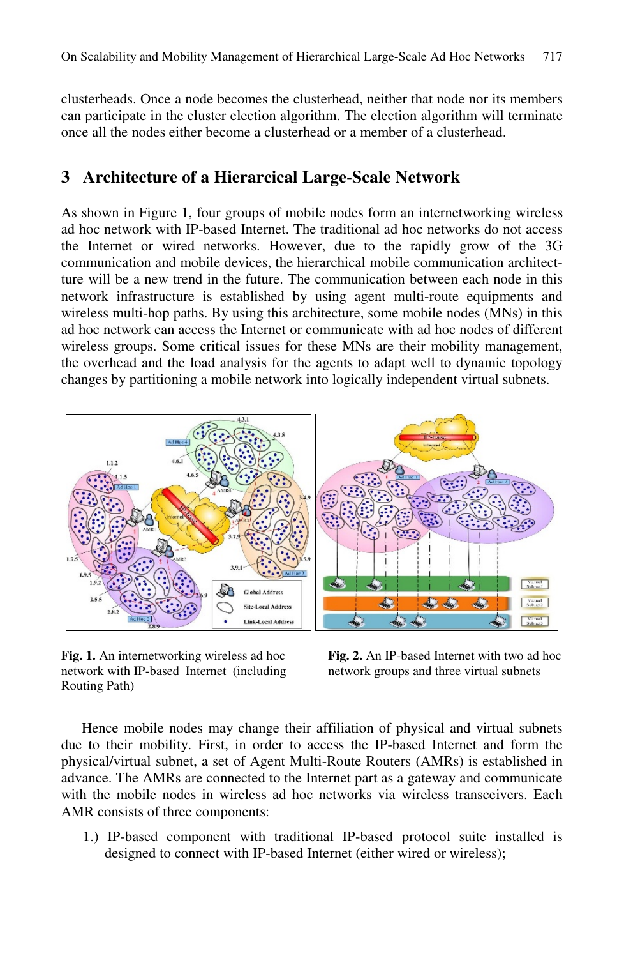clusterheads. Once a node becomes the clusterhead, neither that node nor its members can participate in the cluster election algorithm. The election algorithm will terminate once all the nodes either become a clusterhead or a member of a clusterhead.

## **3 Architecture of a Hierarcical Large-Scale Network**

As shown in Figure 1, four groups of mobile nodes form an internetworking wireless ad hoc network with IP-based Internet. The traditional ad hoc networks do not access the Internet or wired networks. However, due to the rapidly grow of the 3G communication and mobile devices, the hierarchical mobile communication architectture will be a new trend in the future. The communication between each node in this network infrastructure is established by using agent multi-route equipments and wireless multi-hop paths. By using this architecture, some mobile nodes (MNs) in this ad hoc network can access the Internet or communicate with ad hoc nodes of different wireless groups. Some critical issues for these MNs are their mobility management, the overhead and the load analysis for the agents to adapt well to dynamic topology changes by partitioning a mobile network into logically independent virtual subnets.



network with IP-based Internet (including network groups and three virtual subnets Routing Path)

**Fig. 1.** An internetworking wireless ad hoc **Fig. 2.** An IP-based Internet with two ad hoc

Hence mobile nodes may change their affiliation of physical and virtual subnets due to their mobility. First, in order to access the IP-based Internet and form the physical/virtual subnet, a set of Agent Multi-Route Routers (AMRs) is established in advance. The AMRs are connected to the Internet part as a gateway and communicate with the mobile nodes in wireless ad hoc networks via wireless transceivers. Each AMR consists of three components:

1.) IP-based component with traditional IP-based protocol suite installed is designed to connect with IP-based Internet (either wired or wireless);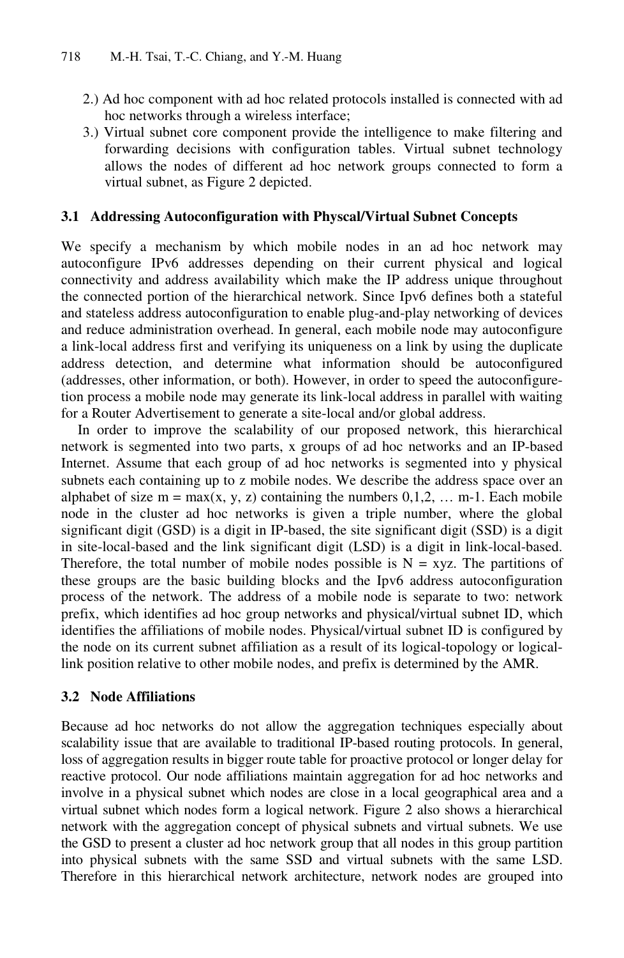- 2.) Ad hoc component with ad hoc related protocols installed is connected with ad hoc networks through a wireless interface;
- 3.) Virtual subnet core component provide the intelligence to make filtering and forwarding decisions with configuration tables. Virtual subnet technology allows the nodes of different ad hoc network groups connected to form a virtual subnet, as Figure 2 depicted.

#### **3.1 Addressing Autoconfiguration with Physcal/Virtual Subnet Concepts**

We specify a mechanism by which mobile nodes in an ad hoc network may autoconfigure IPv6 addresses depending on their current physical and logical connectivity and address availability which make the IP address unique throughout the connected portion of the hierarchical network. Since Ipv6 defines both a stateful and stateless address autoconfiguration to enable plug-and-play networking of devices and reduce administration overhead. In general, each mobile node may autoconfigure a link-local address first and verifying its uniqueness on a link by using the duplicate address detection, and determine what information should be autoconfigured (addresses, other information, or both). However, in order to speed the autoconfiguretion process a mobile node may generate its link-local address in parallel with waiting for a Router Advertisement to generate a site-local and/or global address.

In order to improve the scalability of our proposed network, this hierarchical network is segmented into two parts, x groups of ad hoc networks and an IP-based Internet. Assume that each group of ad hoc networks is segmented into y physical subnets each containing up to z mobile nodes. We describe the address space over an alphabet of size m = max(x, y, z) containing the numbers  $0,1,2, \ldots$  m-1. Each mobile node in the cluster ad hoc networks is given a triple number, where the global significant digit (GSD) is a digit in IP-based, the site significant digit (SSD) is a digit in site-local-based and the link significant digit (LSD) is a digit in link-local-based. Therefore, the total number of mobile nodes possible is  $N = xyz$ . The partitions of these groups are the basic building blocks and the Ipv6 address autoconfiguration process of the network. The address of a mobile node is separate to two: network prefix, which identifies ad hoc group networks and physical/virtual subnet ID, which identifies the affiliations of mobile nodes. Physical/virtual subnet ID is configured by the node on its current subnet affiliation as a result of its logical-topology or logicallink position relative to other mobile nodes, and prefix is determined by the AMR.

#### **3.2 Node Affiliations**

Because ad hoc networks do not allow the aggregation techniques especially about scalability issue that are available to traditional IP-based routing protocols. In general, loss of aggregation results in bigger route table for proactive protocol or longer delay for reactive protocol. Our node affiliations maintain aggregation for ad hoc networks and involve in a physical subnet which nodes are close in a local geographical area and a virtual subnet which nodes form a logical network. Figure 2 also shows a hierarchical network with the aggregation concept of physical subnets and virtual subnets. We use the GSD to present a cluster ad hoc network group that all nodes in this group partition into physical subnets with the same SSD and virtual subnets with the same LSD. Therefore in this hierarchical network architecture, network nodes are grouped into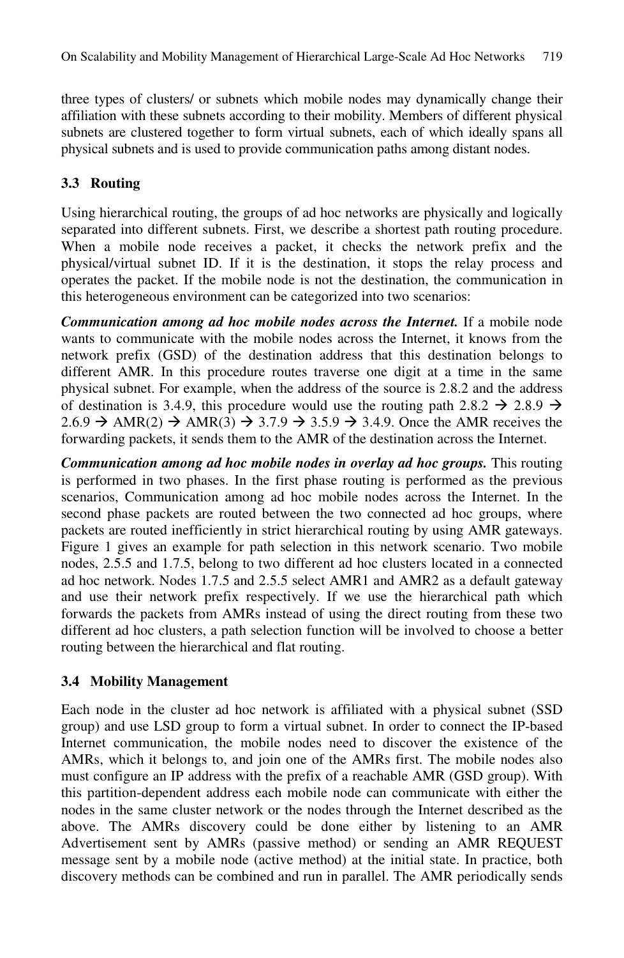three types of clusters/ or subnets which mobile nodes may dynamically change their affiliation with these subnets according to their mobility. Members of different physical subnets are clustered together to form virtual subnets, each of which ideally spans all physical subnets and is used to provide communication paths among distant nodes.

## **3.3 Routing**

Using hierarchical routing, the groups of ad hoc networks are physically and logically separated into different subnets. First, we describe a shortest path routing procedure. When a mobile node receives a packet, it checks the network prefix and the physical/virtual subnet ID. If it is the destination, it stops the relay process and operates the packet. If the mobile node is not the destination, the communication in this heterogeneous environment can be categorized into two scenarios:

*Communication among ad hoc mobile nodes across the Internet.* If a mobile node wants to communicate with the mobile nodes across the Internet, it knows from the network prefix (GSD) of the destination address that this destination belongs to different AMR. In this procedure routes traverse one digit at a time in the same physical subnet. For example, when the address of the source is 2.8.2 and the address of destination is 3.4.9, this procedure would use the routing path 2.8.2  $\rightarrow$  2.8.9  $\rightarrow$ 2.6.9  $\rightarrow$  AMR(2)  $\rightarrow$  AMR(3)  $\rightarrow$  3.7.9  $\rightarrow$  3.5.9  $\rightarrow$  3.4.9. Once the AMR receives the forwarding packets, it sends them to the AMR of the destination across the Internet.

*Communication among ad hoc mobile nodes in overlay ad hoc groups.* This routing is performed in two phases. In the first phase routing is performed as the previous scenarios, Communication among ad hoc mobile nodes across the Internet. In the second phase packets are routed between the two connected ad hoc groups, where packets are routed inefficiently in strict hierarchical routing by using AMR gateways. Figure 1 gives an example for path selection in this network scenario. Two mobile nodes, 2.5.5 and 1.7.5, belong to two different ad hoc clusters located in a connected ad hoc network. Nodes 1.7.5 and 2.5.5 select AMR1 and AMR2 as a default gateway and use their network prefix respectively. If we use the hierarchical path which forwards the packets from AMRs instead of using the direct routing from these two different ad hoc clusters, a path selection function will be involved to choose a better routing between the hierarchical and flat routing.

#### **3.4 Mobility Management**

Each node in the cluster ad hoc network is affiliated with a physical subnet (SSD group) and use LSD group to form a virtual subnet. In order to connect the IP-based Internet communication, the mobile nodes need to discover the existence of the AMRs, which it belongs to, and join one of the AMRs first. The mobile nodes also must configure an IP address with the prefix of a reachable AMR (GSD group). With this partition-dependent address each mobile node can communicate with either the nodes in the same cluster network or the nodes through the Internet described as the above. The AMRs discovery could be done either by listening to an AMR Advertisement sent by AMRs (passive method) or sending an AMR REQUEST message sent by a mobile node (active method) at the initial state. In practice, both discovery methods can be combined and run in parallel. The AMR periodically sends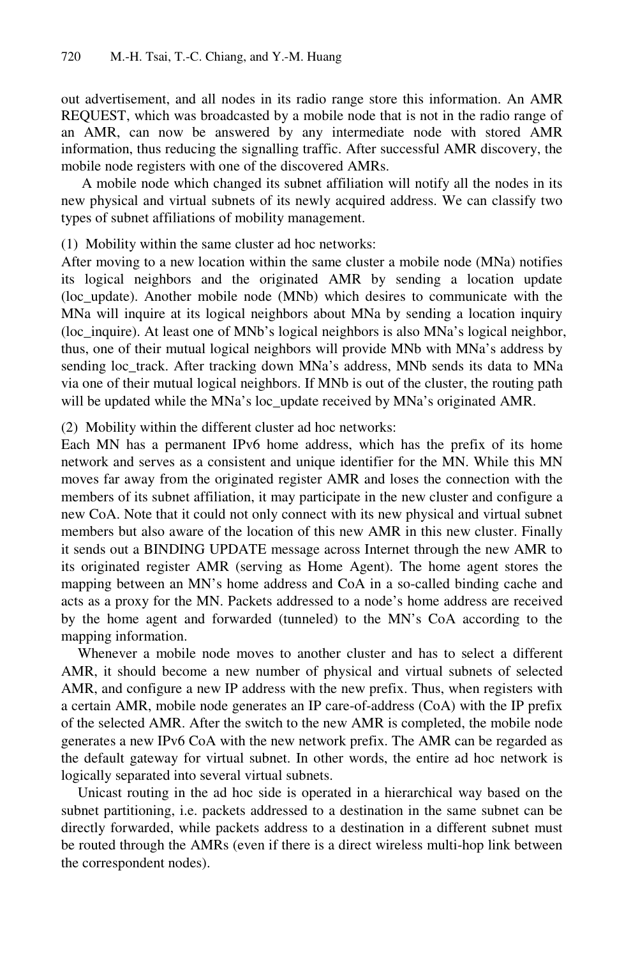out advertisement, and all nodes in its radio range store this information. An AMR REQUEST, which was broadcasted by a mobile node that is not in the radio range of an AMR, can now be answered by any intermediate node with stored AMR information, thus reducing the signalling traffic. After successful AMR discovery, the mobile node registers with one of the discovered AMRs.

A mobile node which changed its subnet affiliation will notify all the nodes in its new physical and virtual subnets of its newly acquired address. We can classify two types of subnet affiliations of mobility management.

(1) Mobility within the same cluster ad hoc networks:

After moving to a new location within the same cluster a mobile node (MNa) notifies its logical neighbors and the originated AMR by sending a location update (loc\_update). Another mobile node (MNb) which desires to communicate with the MNa will inquire at its logical neighbors about MNa by sending a location inquiry (loc\_inquire). At least one of MNb's logical neighbors is also MNa's logical neighbor, thus, one of their mutual logical neighbors will provide MNb with MNa's address by sending loc\_track. After tracking down MNa's address, MNb sends its data to MNa via one of their mutual logical neighbors. If MNb is out of the cluster, the routing path will be updated while the MNa's loc\_update received by MNa's originated AMR.

(2) Mobility within the different cluster ad hoc networks:

Each MN has a permanent IPv6 home address, which has the prefix of its home network and serves as a consistent and unique identifier for the MN. While this MN moves far away from the originated register AMR and loses the connection with the members of its subnet affiliation, it may participate in the new cluster and configure a new CoA. Note that it could not only connect with its new physical and virtual subnet members but also aware of the location of this new AMR in this new cluster. Finally it sends out a BINDING UPDATE message across Internet through the new AMR to its originated register AMR (serving as Home Agent). The home agent stores the mapping between an MN's home address and CoA in a so-called binding cache and acts as a proxy for the MN. Packets addressed to a node's home address are received by the home agent and forwarded (tunneled) to the MN's CoA according to the mapping information.

Whenever a mobile node moves to another cluster and has to select a different AMR, it should become a new number of physical and virtual subnets of selected AMR, and configure a new IP address with the new prefix. Thus, when registers with a certain AMR, mobile node generates an IP care-of-address (CoA) with the IP prefix of the selected AMR. After the switch to the new AMR is completed, the mobile node generates a new IPv6 CoA with the new network prefix. The AMR can be regarded as the default gateway for virtual subnet. In other words, the entire ad hoc network is logically separated into several virtual subnets.

Unicast routing in the ad hoc side is operated in a hierarchical way based on the subnet partitioning, i.e. packets addressed to a destination in the same subnet can be directly forwarded, while packets address to a destination in a different subnet must be routed through the AMRs (even if there is a direct wireless multi-hop link between the correspondent nodes).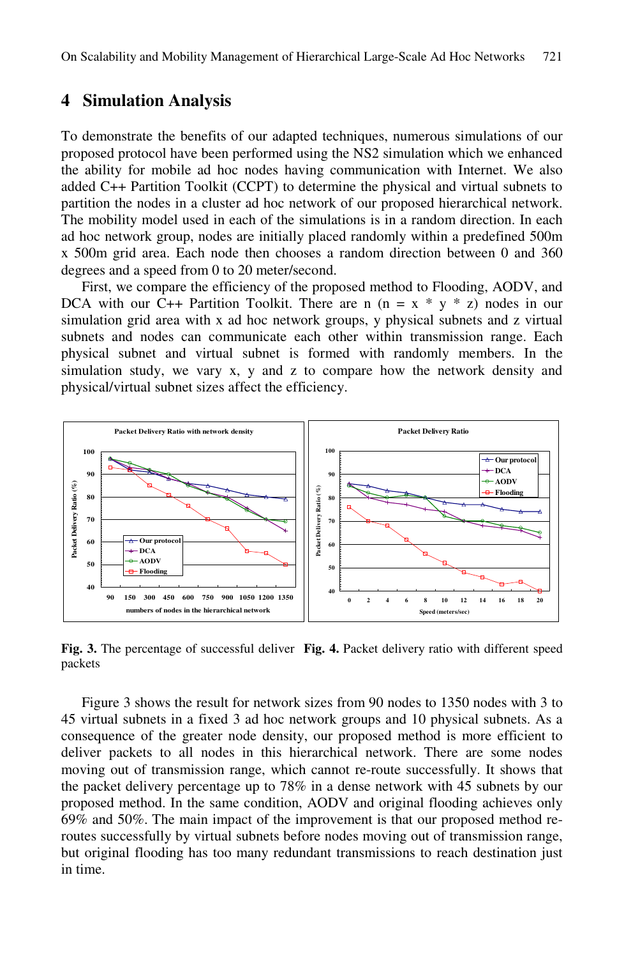## **4 Simulation Analysis**

To demonstrate the benefits of our adapted techniques, numerous simulations of our proposed protocol have been performed using the NS2 simulation which we enhanced the ability for mobile ad hoc nodes having communication with Internet. We also added C++ Partition Toolkit (CCPT) to determine the physical and virtual subnets to partition the nodes in a cluster ad hoc network of our proposed hierarchical network. The mobility model used in each of the simulations is in a random direction. In each ad hoc network group, nodes are initially placed randomly within a predefined 500m x 500m grid area. Each node then chooses a random direction between 0 and 360 degrees and a speed from 0 to 20 meter/second.

First, we compare the efficiency of the proposed method to Flooding, AODV, and DCA with our C++ Partition Toolkit. There are n  $(n = x * y * z)$  nodes in our simulation grid area with x ad hoc network groups, y physical subnets and z virtual subnets and nodes can communicate each other within transmission range. Each physical subnet and virtual subnet is formed with randomly members. In the simulation study, we vary x, y and z to compare how the network density and physical/virtual subnet sizes affect the efficiency.



**Fig. 3.** The percentage of successful deliver **Fig. 4.** Packet delivery ratio with different speed packets

Figure 3 shows the result for network sizes from 90 nodes to 1350 nodes with 3 to 45 virtual subnets in a fixed 3 ad hoc network groups and 10 physical subnets. As a consequence of the greater node density, our proposed method is more efficient to deliver packets to all nodes in this hierarchical network. There are some nodes moving out of transmission range, which cannot re-route successfully. It shows that the packet delivery percentage up to 78% in a dense network with 45 subnets by our proposed method. In the same condition, AODV and original flooding achieves only 69% and 50%. The main impact of the improvement is that our proposed method reroutes successfully by virtual subnets before nodes moving out of transmission range, but original flooding has too many redundant transmissions to reach destination just in time.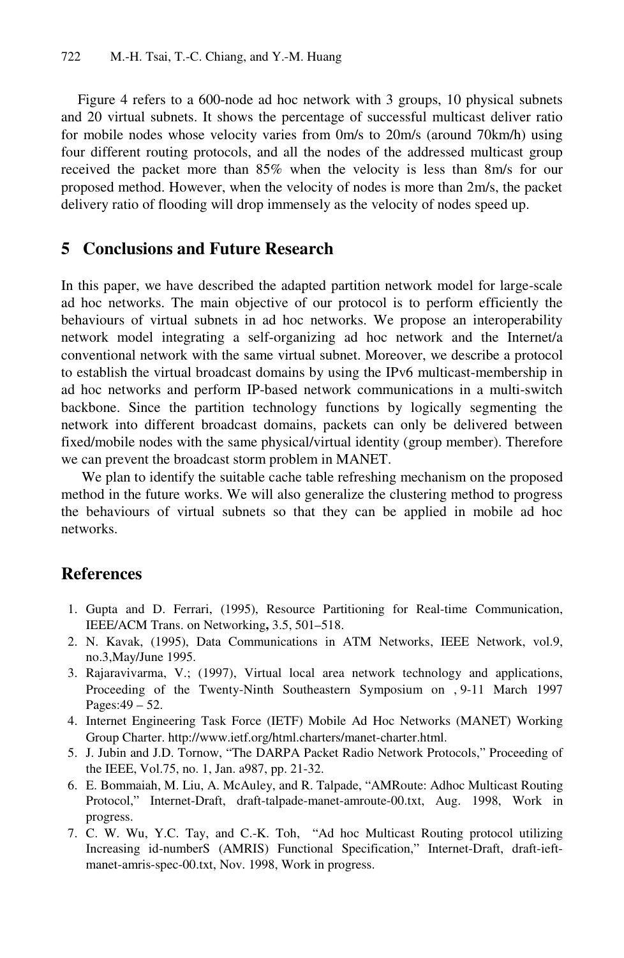Figure 4 refers to a 600-node ad hoc network with 3 groups, 10 physical subnets and 20 virtual subnets. It shows the percentage of successful multicast deliver ratio for mobile nodes whose velocity varies from 0m/s to 20m/s (around 70km/h) using four different routing protocols, and all the nodes of the addressed multicast group received the packet more than 85% when the velocity is less than 8m/s for our proposed method. However, when the velocity of nodes is more than 2m/s, the packet delivery ratio of flooding will drop immensely as the velocity of nodes speed up.

## **5 Conclusions and Future Research**

In this paper, we have described the adapted partition network model for large-scale ad hoc networks. The main objective of our protocol is to perform efficiently the behaviours of virtual subnets in ad hoc networks. We propose an interoperability network model integrating a self-organizing ad hoc network and the Internet/a conventional network with the same virtual subnet. Moreover, we describe a protocol to establish the virtual broadcast domains by using the IPv6 multicast-membership in ad hoc networks and perform IP-based network communications in a multi-switch backbone. Since the partition technology functions by logically segmenting the network into different broadcast domains, packets can only be delivered between fixed/mobile nodes with the same physical/virtual identity (group member). Therefore we can prevent the broadcast storm problem in MANET.

We plan to identify the suitable cache table refreshing mechanism on the proposed method in the future works. We will also generalize the clustering method to progress the behaviours of virtual subnets so that they can be applied in mobile ad hoc networks.

## **References**

- 1. Gupta and D. Ferrari, (1995), Resource Partitioning for Real-time Communication, IEEE/ACM Trans. on Networking**,** 3.5, 501–518.
- 2. N. Kavak, (1995), Data Communications in ATM Networks, IEEE Network, vol.9, no.3,May/June 1995.
- 3. Rajaravivarma, V.; (1997), Virtual local area network technology and applications, Proceeding of the Twenty-Ninth Southeastern Symposium on , 9-11 March 1997 Pages:49 – 52.
- 4. Internet Engineering Task Force (IETF) Mobile Ad Hoc Networks (MANET) Working Group Charter. http://www.ietf.org/html.charters/manet-charter.html.
- 5. J. Jubin and J.D. Tornow, "The DARPA Packet Radio Network Protocols," Proceeding of the IEEE, Vol.75, no. 1, Jan. a987, pp. 21-32.
- 6. E. Bommaiah, M. Liu, A. McAuley, and R. Talpade, "AMRoute: Adhoc Multicast Routing Protocol," Internet-Draft, draft-talpade-manet-amroute-00.txt, Aug. 1998, Work in progress.
- 7. C. W. Wu, Y.C. Tay, and C.-K. Toh, "Ad hoc Multicast Routing protocol utilizing Increasing id-numberS (AMRIS) Functional Specification," Internet-Draft, draft-ieftmanet-amris-spec-00.txt, Nov. 1998, Work in progress.